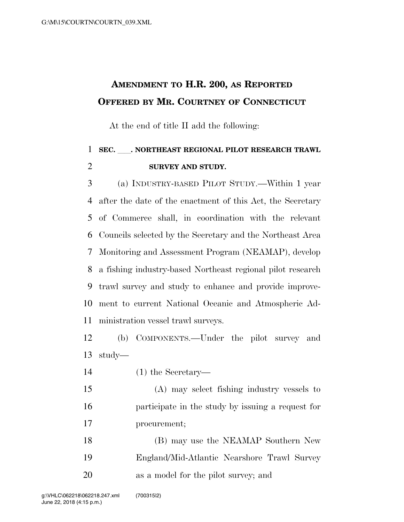## **AMENDMENT TO H.R. 200, AS REPORTED OFFERED BY MR. COURTNEY OF CONNECTICUT**

At the end of title II add the following:

## **SEC.** ll**. NORTHEAST REGIONAL PILOT RESEARCH TRAWL SURVEY AND STUDY.**

 (a) INDUSTRY-BASED PILOT STUDY.—Within 1 year after the date of the enactment of this Act, the Secretary of Commerce shall, in coordination with the relevant Councils selected by the Secretary and the Northeast Area Monitoring and Assessment Program (NEAMAP), develop a fishing industry-based Northeast regional pilot research trawl survey and study to enhance and provide improve- ment to current National Oceanic and Atmospheric Ad-ministration vessel trawl surveys.

 (b) COMPONENTS.—Under the pilot survey and study—

(1) the Secretary—

 (A) may select fishing industry vessels to participate in the study by issuing a request for procurement;

| 18 | (B) may use the NEAMAP Southern New         |
|----|---------------------------------------------|
| 19 | England/Mid-Atlantic Nearshore Trawl Survey |
| 20 | as a model for the pilot survey; and        |